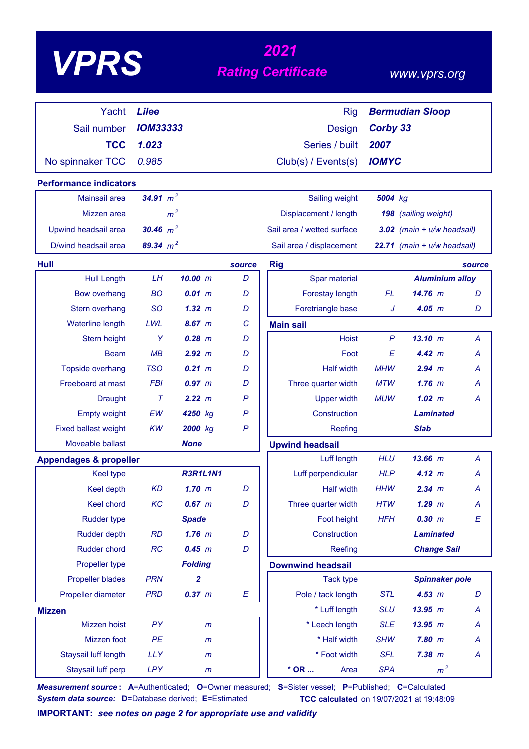| VPP |
|-----|
|-----|

# *<sup>2021</sup> VPRS Rating Certificate*

### *www.vprs.org*

| Yacht                             | <b>Lilee</b>    |                 |              | <b>Rig</b>                 |              | <b>Bermudian Sloop</b>         |                |
|-----------------------------------|-----------------|-----------------|--------------|----------------------------|--------------|--------------------------------|----------------|
| Sail number                       | <b>IOM33333</b> |                 |              | Design                     | Corby 33     |                                |                |
| <b>TCC</b>                        | 1.023           |                 |              | Series / built             | 2007         |                                |                |
| No spinnaker TCC                  | 0.985           |                 |              | Club(s) / Events(s)        | <b>IOMYC</b> |                                |                |
| <b>Performance indicators</b>     |                 |                 |              |                            |              |                                |                |
| <b>Mainsail area</b>              | 34.91 $m^2$     |                 |              | Sailing weight             | 5004 kg      |                                |                |
| Mizzen area                       |                 | m <sup>2</sup>  |              | Displacement / length      |              | 198 (sailing weight)           |                |
| Upwind headsail area              | 30.46 $m^2$     |                 |              | Sail area / wetted surface |              | $3.02$ (main + $u/w$ headsail) |                |
| D/wind headsail area              | 89.34 $m^2$     |                 |              | Sail area / displacement   |              | 22.71 (main + u/w headsail)    |                |
| <b>Hull</b>                       |                 |                 | source       | <b>Rig</b>                 |              |                                | source         |
| <b>Hull Length</b>                | <b>LH</b>       | 10.00 m         | D            | Spar material              |              | <b>Aluminium alloy</b>         |                |
| Bow overhang                      | <b>BO</b>       | $0.01 \, m$     | D            | Forestay length            | <b>FL</b>    | $14.76$ m                      | D              |
| Stern overhang                    | <b>SO</b>       | 1.32 m          | D            | Foretriangle base          | J            | $4.05$ $m$                     | D              |
| <b>Waterline length</b>           | LWL             | 8.67 m          | C            | <b>Main sail</b>           |              |                                |                |
| Stern height                      | Y               | $0.28$ $m$      | D            | <b>Hoist</b>               | $\mathsf{P}$ | 13.10 m                        | A              |
| <b>Beam</b>                       | MB              | 2.92 m          | D            | Foot                       | E            | 4.42 m                         | А              |
| Topside overhang                  | <b>TSO</b>      | $0.21 \, m$     | D            | <b>Half width</b>          | <b>MHW</b>   | 2.94 m                         | A              |
| Freeboard at mast                 | <b>FBI</b>      | 0.97 m          | D            | Three quarter width        | <b>MTW</b>   | $1.76$ m                       | А              |
| <b>Draught</b>                    | $\tau$          | 2.22 m          | P            | <b>Upper width</b>         | <b>MUW</b>   | 1.02~m                         | Α              |
| <b>Empty weight</b>               | EW              | 4250 kg         | $\mathsf{P}$ | Construction               |              | <b>Laminated</b>               |                |
| <b>Fixed ballast weight</b>       | <b>KW</b>       | 2000 kg         | $\mathsf{P}$ | Reefing                    |              | <b>Slab</b>                    |                |
| Moveable ballast                  |                 | <b>None</b>     |              | <b>Upwind headsail</b>     |              |                                |                |
| <b>Appendages &amp; propeller</b> |                 |                 |              | Luff length                | <b>HLU</b>   | $13.66$ m                      | $\overline{A}$ |
| <b>Keel type</b>                  |                 | <b>R3R1L1N1</b> |              | Luff perpendicular         | <b>HLP</b>   | 4.12 m                         | А              |
| Keel depth                        | <b>KD</b>       | $1.70$ m        | D            | <b>Half width</b>          | <b>HHW</b>   | 2.34 m                         | Α              |
| Keel chord                        | KC              | $0.67$ m        | D            | Three quarter width        | <b>HTW</b>   | $1.29$ $m$                     | A              |
| <b>Rudder type</b>                |                 | <b>Spade</b>    |              | Foot height                | <b>HFH</b>   | 0.30 m                         | E              |
| <b>Rudder depth</b>               | <b>RD</b>       | $1.76$ m        | D            | Construction               |              | <b>Laminated</b>               |                |
| <b>Rudder chord</b>               | RC              | 0.45 m          | D            | Reefing                    |              | <b>Change Sail</b>             |                |
| Propeller type                    |                 | <b>Folding</b>  |              | <b>Downwind headsail</b>   |              |                                |                |
| <b>Propeller blades</b>           | <b>PRN</b>      | 2               |              | <b>Tack type</b>           |              | <b>Spinnaker pole</b>          |                |
| Propeller diameter                | <b>PRD</b>      | 0.37 m          | E            | Pole / tack length         | <b>STL</b>   | 4.53 m                         | D              |
| <b>Mizzen</b>                     |                 |                 |              | * Luff length              | <b>SLU</b>   | 13.95 m                        | A              |
| Mizzen hoist                      | PY              | m               |              | * Leech length             | <b>SLE</b>   | 13.95 m                        | A              |
| Mizzen foot                       | PE              | $\mathsf{m}$    |              | * Half width               | <b>SHW</b>   | $7.80$ $m$                     | A              |
| Staysail luff length              | <b>LLY</b>      | $\mathsf{m}$    |              | * Foot width               | <b>SFL</b>   | 7.38 m                         | A              |
| Staysail luff perp                | <b>LPY</b>      | m               |              | $*$ OR $\ldots$<br>Area    | <b>SPA</b>   | m <sup>2</sup>                 |                |

*Measurement source* **: A**=Authenticated; **O**=Owner measured; **S**=Sister vessel; **P**=Published; **C**=Calculated *System data source:* **D**=Database derived; **E**=Estimated **TCC calculated** on 19/07/2021 at 19:48:09

**IMPORTANT:** *see notes on page 2 for appropriate use and validity*